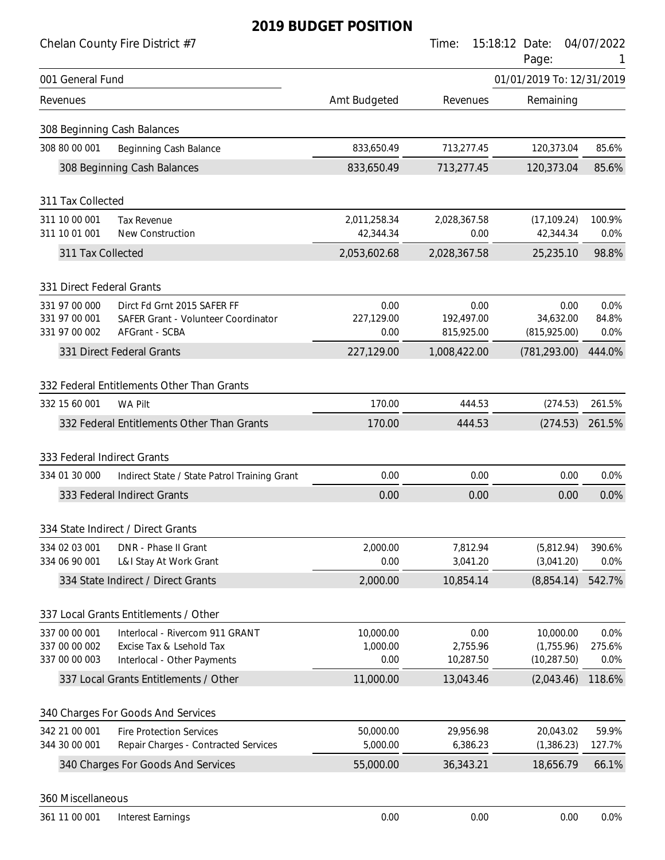| Chelan County Fire District #7                                                                            |                       | Time:                      | 15:18:12 Date:<br>Page:        | 04/07/2022      |
|-----------------------------------------------------------------------------------------------------------|-----------------------|----------------------------|--------------------------------|-----------------|
| 001 General Fund                                                                                          |                       |                            | 01/01/2019 To: 12/31/2019      |                 |
| Revenues                                                                                                  | Amt Budgeted          | Revenues                   | Remaining                      |                 |
| 308 Beginning Cash Balances                                                                               |                       |                            |                                |                 |
| 308 80 00 001<br>Beginning Cash Balance                                                                   | 833,650.49            | 713,277.45                 | 120,373.04                     | 85.6%           |
| 308 Beginning Cash Balances                                                                               | 833,650.49            | 713,277.45                 | 120,373.04                     | 85.6%           |
| 311 Tax Collected                                                                                         |                       |                            |                                |                 |
| 311 10 00 001<br><b>Tax Revenue</b>                                                                       | 2,011,258.34          | 2,028,367.58               | (17, 109.24)                   | 100.9%          |
| 311 10 01 001<br>New Construction                                                                         | 42,344.34             | 0.00                       | 42,344.34                      | 0.0%            |
| 311 Tax Collected                                                                                         | 2,053,602.68          | 2,028,367.58               | 25,235.10                      | 98.8%           |
| 331 Direct Federal Grants                                                                                 |                       |                            |                                |                 |
| 331 97 00 000<br>Dirct Fd Grnt 2015 SAFER FF                                                              | 0.00                  | 0.00                       | 0.00                           | 0.0%            |
| 331 97 00 001<br>SAFER Grant - Volunteer Coordinator                                                      | 227,129.00            | 192,497.00                 | 34,632.00                      | 84.8%           |
| 331 97 00 002<br>AFGrant - SCBA<br>331 Direct Federal Grants                                              | 0.00<br>227,129.00    | 815,925.00<br>1,008,422.00 | (815, 925.00)<br>(781, 293.00) | 0.0%<br>444.0%  |
|                                                                                                           |                       |                            |                                |                 |
| 332 Federal Entitlements Other Than Grants                                                                |                       |                            |                                |                 |
| 332 15 60 001<br><b>WA Pilt</b>                                                                           | 170.00                | 444.53                     | (274.53)                       | 261.5%          |
| 332 Federal Entitlements Other Than Grants                                                                | 170.00                | 444.53                     | (274.53)                       | 261.5%          |
| 333 Federal Indirect Grants                                                                               |                       |                            |                                |                 |
| 334 01 30 000<br>Indirect State / State Patrol Training Grant                                             | 0.00                  | 0.00                       | 0.00                           | 0.0%            |
| 333 Federal Indirect Grants                                                                               | 0.00                  | 0.00                       | 0.00                           | 0.0%            |
|                                                                                                           |                       |                            |                                |                 |
| 334 State Indirect / Direct Grants<br>334 02 03 001<br>DNR - Phase II Grant                               | 2,000.00              | 7,812.94                   | (5,812.94)                     | 390.6%          |
| 334 06 90 001<br>L&I Stay At Work Grant                                                                   | 0.00                  | 3,041.20                   | (3,041.20)                     | 0.0%            |
| 334 State Indirect / Direct Grants                                                                        | 2,000.00              | 10,854.14                  | (8,854.14)                     | 542.7%          |
| 337 Local Grants Entitlements / Other                                                                     |                       |                            |                                |                 |
| 337 00 00 001<br>Interlocal - Rivercom 911 GRANT                                                          | 10,000.00             | 0.00                       | 10,000.00                      | 0.0%            |
| 337 00 00 002<br>Excise Tax & Lsehold Tax                                                                 | 1,000.00              | 2,755.96                   | (1,755.96)                     | 275.6%          |
| 337 00 00 003<br>Interlocal - Other Payments                                                              | 0.00                  | 10,287.50                  | (10, 287.50)                   | 0.0%            |
| 337 Local Grants Entitlements / Other                                                                     | 11,000.00             | 13,043.46                  | (2,043.46)                     | 118.6%          |
| 340 Charges For Goods And Services                                                                        |                       |                            |                                |                 |
| 342 21 00 001<br><b>Fire Protection Services</b><br>344 30 00 001<br>Repair Charges - Contracted Services | 50,000.00<br>5,000.00 | 29,956.98<br>6,386.23      | 20,043.02<br>(1,386.23)        | 59.9%<br>127.7% |
| 340 Charges For Goods And Services                                                                        | 55,000.00             | 36,343.21                  | 18,656.79                      | 66.1%           |
| 360 Miscellaneous                                                                                         |                       |                            |                                |                 |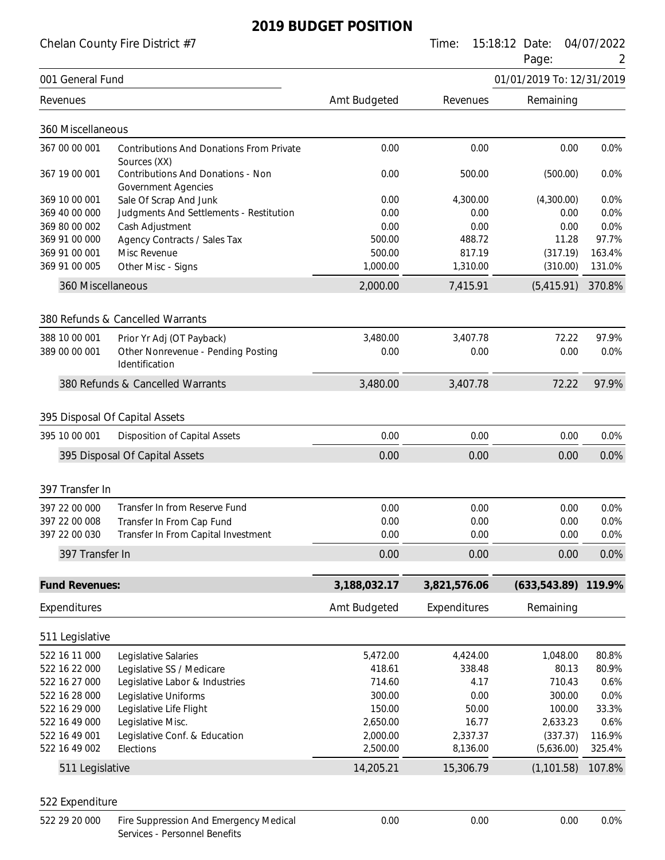Chelan County Fire District #7 Time: 15:18:12 Date: 04/07/2022

|                       |                                                                        |              |              | Page:                     | 2      |
|-----------------------|------------------------------------------------------------------------|--------------|--------------|---------------------------|--------|
| 001 General Fund      |                                                                        |              |              | 01/01/2019 To: 12/31/2019 |        |
| Revenues              |                                                                        | Amt Budgeted | Revenues     | Remaining                 |        |
| 360 Miscellaneous     |                                                                        |              |              |                           |        |
| 367 00 00 001         | <b>Contributions And Donations From Private</b><br>Sources (XX)        | 0.00         | 0.00         | 0.00                      | 0.0%   |
| 367 19 00 001         | <b>Contributions And Donations - Non</b><br><b>Government Agencies</b> | 0.00         | 500.00       | (500.00)                  | 0.0%   |
| 369 10 00 001         | Sale Of Scrap And Junk                                                 | 0.00         | 4,300.00     | (4,300.00)                | 0.0%   |
| 369 40 00 000         | Judgments And Settlements - Restitution                                | 0.00         | 0.00         | 0.00                      | 0.0%   |
| 369 80 00 002         | Cash Adjustment                                                        | 0.00         | 0.00         | 0.00                      | 0.0%   |
| 369 91 00 000         | Agency Contracts / Sales Tax                                           | 500.00       | 488.72       | 11.28                     | 97.7%  |
| 369 91 00 001         | Misc Revenue                                                           | 500.00       | 817.19       | (317.19)                  | 163.4% |
| 369 91 00 005         | Other Misc - Signs                                                     | 1,000.00     | 1,310.00     | (310.00)                  | 131.0% |
| 360 Miscellaneous     |                                                                        | 2,000.00     | 7,415.91     | (5,415.91)                | 370.8% |
|                       | 380 Refunds & Cancelled Warrants                                       |              |              |                           |        |
| 388 10 00 001         | Prior Yr Adj (OT Payback)                                              | 3,480.00     | 3,407.78     | 72.22                     | 97.9%  |
| 389 00 00 001         | Other Nonrevenue - Pending Posting                                     | 0.00         | 0.00         | 0.00                      | 0.0%   |
|                       | Identification                                                         |              |              |                           |        |
|                       | 380 Refunds & Cancelled Warrants                                       | 3,480.00     | 3,407.78     | 72.22                     | 97.9%  |
|                       | 395 Disposal Of Capital Assets                                         |              |              |                           |        |
|                       |                                                                        |              |              |                           |        |
| 395 10 00 001         | <b>Disposition of Capital Assets</b>                                   | 0.00         | 0.00         | 0.00                      | 0.0%   |
|                       | 395 Disposal Of Capital Assets                                         | 0.00         | 0.00         | 0.00                      | 0.0%   |
| 397 Transfer In       |                                                                        |              |              |                           |        |
| 397 22 00 000         | Transfer In from Reserve Fund                                          | 0.00         | 0.00         | 0.00                      | 0.0%   |
| 397 22 00 008         | Transfer In From Cap Fund                                              | 0.00         | 0.00         | 0.00                      | 0.0%   |
| 397 22 00 030         | Transfer In From Capital Investment                                    | 0.00         | 0.00         | 0.00                      | 0.0%   |
| 397 Transfer In       |                                                                        | 0.00         | 0.00         | 0.00                      | 0.0%   |
| <b>Fund Revenues:</b> |                                                                        | 3,188,032.17 | 3,821,576.06 | (633, 543.89)             | 119.9% |
| Expenditures          |                                                                        | Amt Budgeted | Expenditures | Remaining                 |        |
| 511 Legislative       |                                                                        |              |              |                           |        |
| 522 16 11 000         | Legislative Salaries                                                   | 5,472.00     | 4,424.00     | 1,048.00                  | 80.8%  |
| 522 16 22 000         | Legislative SS / Medicare                                              | 418.61       | 338.48       | 80.13                     | 80.9%  |
| 522 16 27 000         | Legislative Labor & Industries                                         | 714.60       | 4.17         | 710.43                    | 0.6%   |
| 522 16 28 000         | Legislative Uniforms                                                   | 300.00       | 0.00         | 300.00                    | 0.0%   |
| 522 16 29 000         | Legislative Life Flight                                                | 150.00       | 50.00        | 100.00                    | 33.3%  |
| 522 16 49 000         | Legislative Misc.                                                      | 2,650.00     | 16.77        | 2,633.23                  | 0.6%   |
| 522 16 49 001         | Legislative Conf. & Education                                          | 2,000.00     | 2,337.37     | (337.37)                  | 116.9% |
| 522 16 49 002         | Elections                                                              | 2,500.00     | 8,136.00     | (5,636.00)                | 325.4% |
| 511 Legislative       |                                                                        | 14,205.21    | 15,306.79    | (1, 101.58)               | 107.8% |
| 522 Expenditure       |                                                                        |              |              |                           |        |
|                       |                                                                        |              |              |                           |        |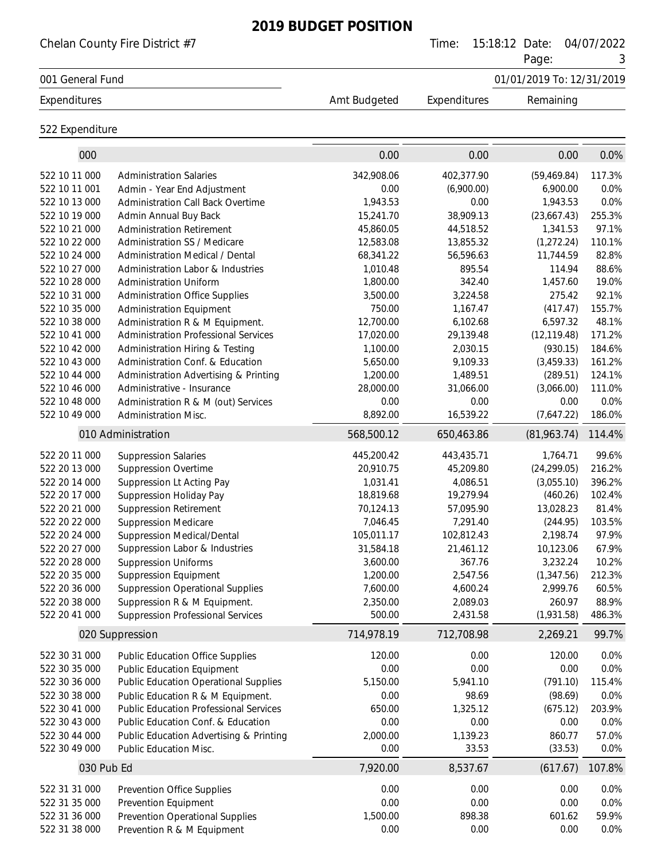|                                | Chelan County Fire District #7                                      |                        | Time:                  | 15:18:12 Date:<br>Page:   | 04/07/2022<br>3 |
|--------------------------------|---------------------------------------------------------------------|------------------------|------------------------|---------------------------|-----------------|
| 001 General Fund               |                                                                     |                        |                        | 01/01/2019 To: 12/31/2019 |                 |
| Expenditures                   |                                                                     | Amt Budgeted           | Expenditures           | Remaining                 |                 |
| 522 Expenditure                |                                                                     |                        |                        |                           |                 |
| 000                            |                                                                     | 0.00                   | 0.00                   | 0.00                      | 0.0%            |
| 522 10 11 000                  | <b>Administration Salaries</b>                                      | 342,908.06             | 402,377.90             | (59, 469.84)              | 117.3%          |
| 522 10 11 001                  | Admin - Year End Adjustment                                         | 0.00                   | (6,900.00)             | 6,900.00                  | 0.0%            |
| 522 10 13 000                  | Administration Call Back Overtime                                   | 1,943.53               | 0.00                   | 1,943.53                  | 0.0%            |
| 522 10 19 000                  | Admin Annual Buy Back                                               | 15,241.70              | 38,909.13              | (23,667.43)               | 255.3%          |
| 522 10 21 000                  | <b>Administration Retirement</b>                                    | 45,860.05              | 44,518.52              | 1,341.53                  | 97.1%           |
| 522 10 22 000                  | Administration SS / Medicare                                        | 12,583.08              | 13,855.32              | (1, 272.24)               | 110.1%          |
| 522 10 24 000<br>522 10 27 000 | Administration Medical / Dental                                     | 68,341.22              | 56,596.63              | 11,744.59                 | 82.8%<br>88.6%  |
| 522 10 28 000                  | Administration Labor & Industries<br><b>Administration Uniform</b>  | 1,010.48<br>1,800.00   | 895.54<br>342.40       | 114.94<br>1,457.60        | 19.0%           |
| 522 10 31 000                  | <b>Administration Office Supplies</b>                               | 3,500.00               | 3,224.58               | 275.42                    | 92.1%           |
| 522 10 35 000                  | <b>Administration Equipment</b>                                     | 750.00                 | 1,167.47               | (417.47)                  | 155.7%          |
| 522 10 38 000                  | Administration R & M Equipment.                                     | 12,700.00              | 6,102.68               | 6,597.32                  | 48.1%           |
| 522 10 41 000                  | <b>Administration Professional Services</b>                         | 17,020.00              | 29,139.48              | (12, 119.48)              | 171.2%          |
| 522 10 42 000                  | Administration Hiring & Testing                                     | 1,100.00               | 2,030.15               | (930.15)                  | 184.6%          |
| 522 10 43 000                  | Administration Conf. & Education                                    | 5,650.00               | 9,109.33               | (3,459.33)                | 161.2%          |
| 522 10 44 000                  | Administration Advertising & Printing                               | 1,200.00               | 1,489.51               | (289.51)                  | 124.1%          |
| 522 10 46 000                  | Administrative - Insurance                                          | 28,000.00              | 31,066.00              | (3,066.00)                | 111.0%          |
| 522 10 48 000                  | Administration R & M (out) Services                                 | 0.00                   | 0.00                   | 0.00                      | 0.0%            |
| 522 10 49 000                  | <b>Administration Misc.</b>                                         | 8,892.00               | 16,539.22              | (7,647.22)                | 186.0%          |
|                                | 010 Administration                                                  | 568,500.12             | 650,463.86             | (81,963.74)               | 114.4%          |
| 522 20 11 000                  | <b>Suppression Salaries</b>                                         | 445,200.42             | 443,435.71             | 1,764.71                  | 99.6%           |
| 522 20 13 000                  | <b>Suppression Overtime</b>                                         | 20,910.75              | 45,209.80              | (24, 299.05)              | 216.2%          |
| 522 20 14 000                  | Suppression Lt Acting Pay                                           | 1,031.41               | 4,086.51               | (3,055.10)                | 396.2%          |
| 522 20 17 000                  | Suppression Holiday Pay                                             | 18,819.68              | 19,279.94              | (460.26)                  | 102.4%          |
| 522 20 21 000                  | <b>Suppression Retirement</b>                                       | 70,124.13              | 57,095.90              | 13,028.23                 | 81.4%           |
| 522 20 22 000                  | <b>Suppression Medicare</b>                                         | 7,046.45<br>105,011.17 | 7,291.40<br>102,812.43 | (244.95)<br>2,198.74      | 103.5%<br>97.9% |
| 522 20 24 000<br>522 20 27 000 | <b>Suppression Medical/Dental</b><br>Suppression Labor & Industries | 31,584.18              | 21,461.12              | 10,123.06                 | 67.9%           |
| 522 20 28 000                  | <b>Suppression Uniforms</b>                                         | 3,600.00               | 367.76                 | 3,232.24                  | 10.2%           |
| 522 20 35 000                  | <b>Suppression Equipment</b>                                        | 1,200.00               | 2,547.56               | (1,347.56)                | 212.3%          |
| 522 20 36 000                  | <b>Suppression Operational Supplies</b>                             | 7,600.00               | 4,600.24               | 2,999.76                  | 60.5%           |
| 522 20 38 000                  | Suppression R & M Equipment.                                        | 2,350.00               | 2,089.03               | 260.97                    | 88.9%           |
| 522 20 41 000                  | <b>Suppression Professional Services</b>                            | 500.00                 | 2,431.58               | (1,931.58)                | 486.3%          |
|                                | 020 Suppression                                                     | 714,978.19             | 712,708.98             | 2,269.21                  | 99.7%           |
| 522 30 31 000                  | <b>Public Education Office Supplies</b>                             | 120.00                 | 0.00                   | 120.00                    | 0.0%            |
| 522 30 35 000                  | <b>Public Education Equipment</b>                                   | 0.00                   | 0.00                   | 0.00                      | 0.0%            |
| 522 30 36 000                  | <b>Public Education Operational Supplies</b>                        | 5,150.00               | 5,941.10               | (791.10)                  | 115.4%          |
| 522 30 38 000                  | Public Education R & M Equipment.                                   | 0.00                   | 98.69                  | (98.69)                   | 0.0%            |
| 522 30 41 000                  | <b>Public Education Professional Services</b>                       | 650.00                 | 1,325.12               | (675.12)                  | 203.9%          |
| 522 30 43 000                  | Public Education Conf. & Education                                  | 0.00                   | 0.00                   | 0.00                      | 0.0%            |
| 522 30 44 000                  | Public Education Advertising & Printing                             | 2,000.00               | 1,139.23               | 860.77                    | 57.0%           |
| 522 30 49 000                  | Public Education Misc.                                              | 0.00                   | 33.53                  | (33.53)                   | 0.0%            |
| 030 Pub Ed                     |                                                                     | 7,920.00               | 8,537.67               | (617.67)                  | 107.8%          |
| 522 31 31 000                  | Prevention Office Supplies                                          | 0.00                   | 0.00                   | 0.00                      | 0.0%            |
| 522 31 35 000                  | Prevention Equipment                                                | 0.00                   | 0.00                   | 0.00                      | 0.0%            |
| 522 31 36 000                  | <b>Prevention Operational Supplies</b>                              | 1,500.00               | 898.38                 | 601.62                    | 59.9%           |
| 522 31 38 000                  | Prevention R & M Equipment                                          | 0.00                   | 0.00                   | 0.00                      | 0.0%            |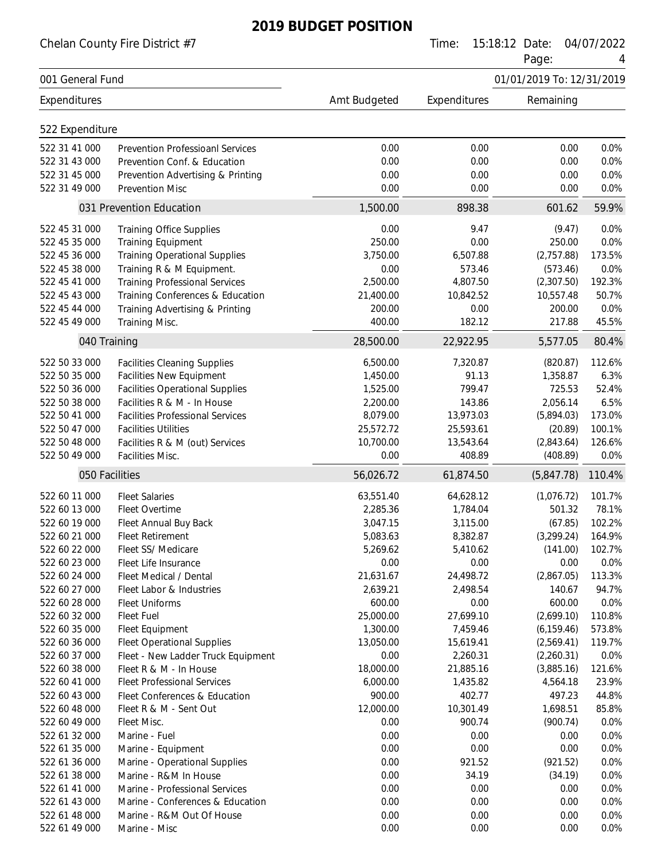Chelan County Fire District #7 Time: 15:18:12 Date: 04/07/2022

| Page: |  |
|-------|--|
|       |  |

|                  |                                         |              |              | Page:                     | 4      |
|------------------|-----------------------------------------|--------------|--------------|---------------------------|--------|
| 001 General Fund |                                         |              |              | 01/01/2019 To: 12/31/2019 |        |
| Expenditures     |                                         | Amt Budgeted | Expenditures | Remaining                 |        |
| 522 Expenditure  |                                         |              |              |                           |        |
| 522 31 41 000    | <b>Prevention Professioanl Services</b> | 0.00         | 0.00         | 0.00                      | 0.0%   |
| 522 31 43 000    | Prevention Conf. & Education            | 0.00         | 0.00         | 0.00                      | 0.0%   |
| 522 31 45 000    | Prevention Advertising & Printing       | 0.00         | 0.00         | 0.00                      | 0.0%   |
| 522 31 49 000    | <b>Prevention Misc</b>                  | 0.00         | 0.00         | 0.00                      | 0.0%   |
|                  | 031 Prevention Education                | 1,500.00     | 898.38       | 601.62                    | 59.9%  |
| 522 45 31 000    | <b>Training Office Supplies</b>         | 0.00         | 9.47         | (9.47)                    | 0.0%   |
| 522 45 35 000    | <b>Training Equipment</b>               | 250.00       | 0.00         | 250.00                    | 0.0%   |
| 522 45 36 000    | <b>Training Operational Supplies</b>    | 3,750.00     | 6,507.88     | (2,757.88)                | 173.5% |
| 522 45 38 000    | Training R & M Equipment.               | 0.00         | 573.46       | (573.46)                  | 0.0%   |
| 522 45 41 000    | <b>Training Professional Services</b>   | 2,500.00     | 4,807.50     | (2,307.50)                | 192.3% |
| 522 45 43 000    | Training Conferences & Education        | 21,400.00    | 10,842.52    | 10,557.48                 | 50.7%  |
| 522 45 44 000    | Training Advertising & Printing         | 200.00       | 0.00         | 200.00                    | 0.0%   |
| 522 45 49 000    | Training Misc.                          | 400.00       | 182.12       | 217.88                    | 45.5%  |
| 040 Training     |                                         | 28,500.00    | 22,922.95    | 5,577.05                  | 80.4%  |
| 522 50 33 000    | <b>Facilities Cleaning Supplies</b>     | 6,500.00     | 7,320.87     | (820.87)                  | 112.6% |
| 522 50 35 000    | <b>Facilities New Equipment</b>         | 1,450.00     | 91.13        | 1,358.87                  | 6.3%   |
| 522 50 36 000    | <b>Facilities Operational Supplies</b>  | 1,525.00     | 799.47       | 725.53                    | 52.4%  |
| 522 50 38 000    | Facilities R & M - In House             | 2,200.00     | 143.86       | 2,056.14                  | 6.5%   |
| 522 50 41 000    | <b>Facilities Professional Services</b> | 8,079.00     | 13,973.03    | (5,894.03)                | 173.0% |
| 522 50 47 000    | <b>Facilities Utilities</b>             | 25,572.72    | 25,593.61    | (20.89)                   | 100.1% |
| 522 50 48 000    | Facilities R & M (out) Services         | 10,700.00    | 13,543.64    | (2,843.64)                | 126.6% |
| 522 50 49 000    | Facilities Misc.                        | 0.00         | 408.89       | (408.89)                  | 0.0%   |
|                  | 050 Facilities                          | 56,026.72    | 61,874.50    | (5,847.78)                | 110.4% |
| 522 60 11 000    | <b>Fleet Salaries</b>                   | 63,551.40    | 64,628.12    | (1,076.72)                | 101.7% |
| 522 60 13 000    | Fleet Overtime                          | 2,285.36     | 1,784.04     | 501.32                    | 78.1%  |
| 522 60 19 000    | Fleet Annual Buy Back                   | 3,047.15     | 3,115.00     | (67.85)                   | 102.2% |
| 522 60 21 000    | <b>Fleet Retirement</b>                 | 5,083.63     | 8,382.87     | (3,299.24)                | 164.9% |
| 522 60 22 000    | Fleet SS/ Medicare                      | 5,269.62     | 5,410.62     | (141.00)                  | 102.7% |
| 522 60 23 000    | Fleet Life Insurance                    | 0.00         | 0.00         | 0.00                      | 0.0%   |
| 522 60 24 000    | Fleet Medical / Dental                  | 21,631.67    | 24,498.72    | (2,867.05)                | 113.3% |
| 522 60 27 000    | Fleet Labor & Industries                | 2,639.21     | 2,498.54     | 140.67                    | 94.7%  |
| 522 60 28 000    | <b>Fleet Uniforms</b>                   | 600.00       | 0.00         | 600.00                    | 0.0%   |
| 522 60 32 000    | <b>Fleet Fuel</b>                       | 25,000.00    | 27,699.10    | (2,699.10)                | 110.8% |
| 522 60 35 000    | Fleet Equipment                         | 1,300.00     | 7,459.46     | (6, 159.46)               | 573.8% |
| 522 60 36 000    | <b>Fleet Operational Supplies</b>       | 13,050.00    | 15,619.41    | (2,569.41)                | 119.7% |
| 522 60 37 000    | Fleet - New Ladder Truck Equipment      | 0.00         | 2,260.31     | (2,260.31)                | 0.0%   |
| 522 60 38 000    | Fleet R & M - In House                  | 18,000.00    | 21,885.16    | (3,885.16)                | 121.6% |
| 522 60 41 000    | <b>Fleet Professional Services</b>      | 6,000.00     | 1,435.82     | 4,564.18                  | 23.9%  |
| 522 60 43 000    | Fleet Conferences & Education           | 900.00       | 402.77       | 497.23                    | 44.8%  |
| 522 60 48 000    | Fleet R & M - Sent Out                  | 12,000.00    | 10,301.49    | 1,698.51                  | 85.8%  |
| 522 60 49 000    | Fleet Misc.                             | 0.00         | 900.74       | (900.74)                  | 0.0%   |
| 522 61 32 000    | Marine - Fuel                           | 0.00         | 0.00         | 0.00                      | 0.0%   |
| 522 61 35 000    | Marine - Equipment                      | 0.00         | 0.00         | 0.00                      | 0.0%   |
| 522 61 36 000    | Marine - Operational Supplies           | 0.00         | 921.52       | (921.52)                  | 0.0%   |
| 522 61 38 000    | Marine - R&M In House                   | 0.00         | 34.19        | (34.19)                   | 0.0%   |
| 522 61 41 000    | Marine - Professional Services          | 0.00         | 0.00         | 0.00                      | 0.0%   |
| 522 61 43 000    | Marine - Conferences & Education        | 0.00         | 0.00         | 0.00                      | 0.0%   |
| 522 61 48 000    | Marine - R&M Out Of House               | 0.00         | 0.00         | 0.00                      | 0.0%   |
| 522 61 49 000    | Marine - Misc                           | 0.00         | 0.00         | 0.00                      | 0.0%   |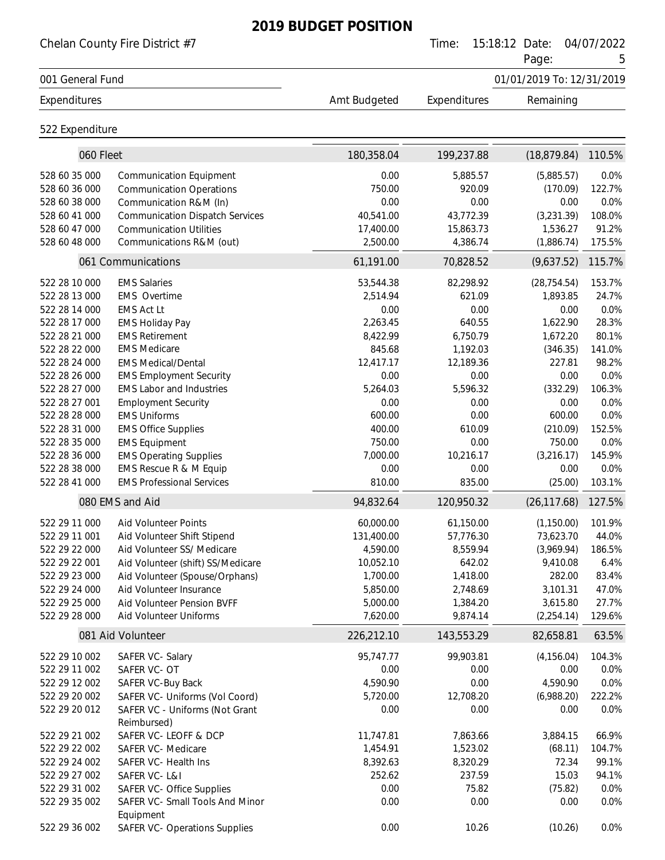|                  | Chelan County Fire District #7                    |              | Time:        | 15:18:12 Date:<br>Page:   | 04/07/2022<br>5 |
|------------------|---------------------------------------------------|--------------|--------------|---------------------------|-----------------|
| 001 General Fund |                                                   |              |              | 01/01/2019 To: 12/31/2019 |                 |
| Expenditures     |                                                   | Amt Budgeted | Expenditures | Remaining                 |                 |
| 522 Expenditure  |                                                   |              |              |                           |                 |
| 060 Fleet        |                                                   | 180,358.04   | 199,237.88   | (18, 879.84)              | 110.5%          |
| 528 60 35 000    | <b>Communication Equipment</b>                    | 0.00         | 5,885.57     | (5,885.57)                | 0.0%            |
| 528 60 36 000    | <b>Communication Operations</b>                   | 750.00       | 920.09       | (170.09)                  | 122.7%          |
| 528 60 38 000    | Communication R&M (In)                            | 0.00         | 0.00         | 0.00                      | 0.0%            |
| 528 60 41 000    | <b>Communication Dispatch Services</b>            | 40,541.00    | 43,772.39    | (3,231.39)                | 108.0%          |
| 528 60 47 000    | <b>Communication Utilities</b>                    | 17,400.00    | 15,863.73    | 1,536.27                  | 91.2%           |
| 528 60 48 000    | Communications R&M (out)                          | 2,500.00     | 4,386.74     | (1,886.74)                | 175.5%          |
|                  | 061 Communications                                | 61,191.00    | 70,828.52    | (9,637.52)                | 115.7%          |
| 522 28 10 000    | <b>EMS Salaries</b>                               | 53,544.38    | 82,298.92    | (28, 754.54)              | 153.7%          |
| 522 28 13 000    | EMS Overtime                                      | 2,514.94     | 621.09       | 1,893.85                  | 24.7%           |
| 522 28 14 000    | <b>EMS Act Lt</b>                                 | 0.00         | 0.00         | 0.00                      | 0.0%            |
| 522 28 17 000    | <b>EMS Holiday Pay</b>                            | 2,263.45     | 640.55       | 1,622.90                  | 28.3%           |
| 522 28 21 000    | <b>EMS Retirement</b>                             | 8,422.99     | 6,750.79     | 1,672.20                  | 80.1%           |
| 522 28 22 000    | <b>EMS Medicare</b>                               | 845.68       | 1,192.03     | (346.35)                  | 141.0%          |
| 522 28 24 000    | <b>EMS Medical/Dental</b>                         | 12,417.17    | 12,189.36    | 227.81                    | 98.2%           |
| 522 28 26 000    | <b>EMS Employment Security</b>                    | 0.00         | 0.00         | 0.00                      | 0.0%            |
| 522 28 27 000    | <b>EMS Labor and Industries</b>                   | 5,264.03     | 5,596.32     | (332.29)                  | 106.3%          |
| 522 28 27 001    | <b>Employment Security</b>                        | 0.00         | 0.00         | 0.00                      | 0.0%            |
| 522 28 28 000    | <b>EMS Uniforms</b>                               | 600.00       | 0.00         | 600.00                    | 0.0%            |
| 522 28 31 000    | <b>EMS Office Supplies</b>                        | 400.00       | 610.09       | (210.09)                  | 152.5%          |
| 522 28 35 000    | <b>EMS Equipment</b>                              | 750.00       | 0.00         | 750.00                    | 0.0%            |
| 522 28 36 000    | <b>EMS Operating Supplies</b>                     | 7,000.00     | 10,216.17    | (3,216.17)                | 145.9%          |
| 522 28 38 000    | EMS Rescue R & M Equip                            | 0.00         | 0.00         | 0.00                      | 0.0%            |
| 522 28 41 000    | <b>EMS Professional Services</b>                  | 810.00       | 835.00       | (25.00)                   | 103.1%          |
|                  | 080 EMS and Aid                                   | 94,832.64    | 120,950.32   | (26, 117.68)              | 127.5%          |
| 522 29 11 000    | Aid Volunteer Points                              | 60,000.00    | 61,150.00    | (1,150.00)                | 101.9%          |
| 522 29 11 001    | Aid Volunteer Shift Stipend                       | 131,400.00   | 57,776.30    | 73,623.70                 | 44.0%           |
| 522 29 22 000    | Aid Volunteer SS/ Medicare                        | 4,590.00     | 8,559.94     | (3,969.94)                | 186.5%          |
| 522 29 22 001    | Aid Volunteer (shift) SS/Medicare                 | 10,052.10    | 642.02       | 9,410.08                  | 6.4%            |
| 522 29 23 000    | Aid Volunteer (Spouse/Orphans)                    | 1,700.00     | 1,418.00     | 282.00                    | 83.4%           |
| 522 29 24 000    | Aid Volunteer Insurance                           | 5,850.00     | 2,748.69     | 3,101.31                  | 47.0%           |
| 522 29 25 000    | Aid Volunteer Pension BVFF                        | 5,000.00     | 1,384.20     | 3,615.80                  | 27.7%           |
| 522 29 28 000    | Aid Volunteer Uniforms                            | 7,620.00     | 9,874.14     | (2, 254.14)               | 129.6%          |
|                  | 081 Aid Volunteer                                 | 226,212.10   | 143,553.29   | 82,658.81                 | 63.5%           |
| 522 29 10 002    | SAFER VC-Salary                                   | 95,747.77    | 99,903.81    | (4, 156.04)               | 104.3%          |
| 522 29 11 002    | SAFER VC-OT                                       | 0.00         | 0.00         | 0.00                      | 0.0%            |
| 522 29 12 002    | SAFER VC-Buy Back                                 | 4,590.90     | 0.00         | 4,590.90                  | 0.0%            |
| 522 29 20 002    | SAFER VC- Uniforms (Vol Coord)                    | 5,720.00     | 12,708.20    | (6,988.20)                | 222.2%          |
| 522 29 20 012    | SAFER VC - Uniforms (Not Grant<br>Reimbursed)     | 0.00         | 0.00         | 0.00                      | 0.0%            |
| 522 29 21 002    | SAFER VC-LEOFF & DCP                              | 11,747.81    | 7,863.66     | 3,884.15                  | 66.9%           |
| 522 29 22 002    | SAFER VC- Medicare                                | 1,454.91     | 1,523.02     | (68.11)                   | 104.7%          |
| 522 29 24 002    | SAFER VC- Health Ins                              | 8,392.63     | 8,320.29     | 72.34                     | 99.1%           |
| 522 29 27 002    | SAFER VC-L&I                                      | 252.62       | 237.59       | 15.03                     | 94.1%           |
| 522 29 31 002    | <b>SAFER VC- Office Supplies</b>                  | 0.00         | 75.82        | (75.82)                   | 0.0%            |
| 522 29 35 002    | SAFER VC- Small Tools And Minor                   | 0.00         | 0.00         | 0.00                      | 0.0%            |
| 522 29 36 002    | Equipment<br><b>SAFER VC- Operations Supplies</b> | 0.00         | 10.26        | (10.26)                   | 0.0%            |
|                  |                                                   |              |              |                           |                 |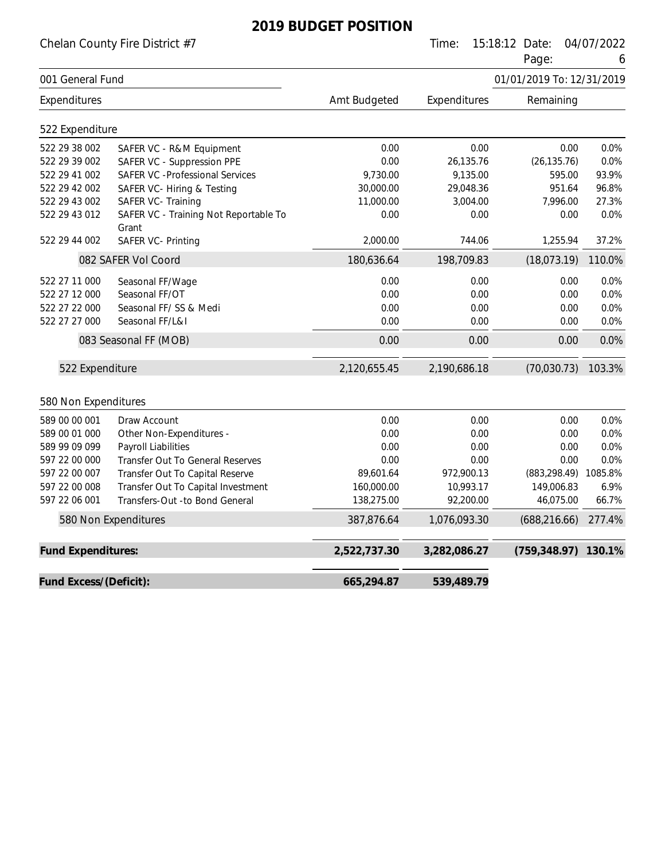Chelan County Fire District #7 Time: 15:18:12 Date: 04/07/2022

Page: 6

|                        |                                                |              |              | ı ayt.                    | U       |
|------------------------|------------------------------------------------|--------------|--------------|---------------------------|---------|
| 001 General Fund       |                                                |              |              | 01/01/2019 To: 12/31/2019 |         |
| Expenditures           |                                                | Amt Budgeted | Expenditures | Remaining                 |         |
| 522 Expenditure        |                                                |              |              |                           |         |
| 522 29 38 002          | SAFER VC - R&M Equipment                       | 0.00         | 0.00         | 0.00                      | 0.0%    |
| 522 29 39 002          | SAFER VC - Suppression PPE                     | 0.00         | 26,135.76    | (26, 135.76)              | 0.0%    |
| 522 29 41 002          | <b>SAFER VC - Professional Services</b>        | 9,730.00     | 9,135.00     | 595.00                    | 93.9%   |
| 522 29 42 002          | SAFER VC- Hiring & Testing                     | 30,000.00    | 29,048.36    | 951.64                    | 96.8%   |
| 522 29 43 002          | SAFER VC- Training                             | 11,000.00    | 3,004.00     | 7,996.00                  | 27.3%   |
| 522 29 43 012          | SAFER VC - Training Not Reportable To<br>Grant | 0.00         | 0.00         | 0.00                      | 0.0%    |
| 522 29 44 002          | SAFER VC- Printing                             | 2,000.00     | 744.06       | 1,255.94                  | 37.2%   |
|                        | 082 SAFER Vol Coord                            | 180,636.64   | 198,709.83   | (18,073.19)               | 110.0%  |
| 522 27 11 000          | Seasonal FF/Wage                               | 0.00         | 0.00         | 0.00                      | 0.0%    |
| 522 27 12 000          | Seasonal FF/OT                                 | 0.00         | 0.00         | 0.00                      | 0.0%    |
| 522 27 22 000          | Seasonal FF/SS & Medi                          | 0.00         | 0.00         | 0.00                      | 0.0%    |
| 522 27 27 000          | Seasonal FF/L&I                                | 0.00         | 0.00         | 0.00                      | 0.0%    |
|                        | 083 Seasonal FF (MOB)                          | 0.00         | 0.00         | 0.00                      | 0.0%    |
| 522 Expenditure        |                                                | 2,120,655.45 | 2,190,686.18 | (70,030.73)               | 103.3%  |
| 580 Non Expenditures   |                                                |              |              |                           |         |
| 589 00 00 001          | Draw Account                                   | 0.00         | 0.00         | 0.00                      | 0.0%    |
| 589 00 01 000          | Other Non-Expenditures -                       | 0.00         | 0.00         | 0.00                      | 0.0%    |
| 589 99 09 099          | Payroll Liabilities                            | 0.00         | 0.00         | 0.00                      | 0.0%    |
| 597 22 00 000          | Transfer Out To General Reserves               | 0.00         | 0.00         | 0.00                      | 0.0%    |
| 597 22 00 007          | Transfer Out To Capital Reserve                | 89,601.64    | 972,900.13   | (883, 298.49)             | 1085.8% |
| 597 22 00 008          | Transfer Out To Capital Investment             | 160,000.00   | 10,993.17    | 149,006.83                | 6.9%    |
| 597 22 06 001          | Transfers-Out -to Bond General                 | 138,275.00   | 92,200.00    | 46,075.00                 | 66.7%   |
|                        | 580 Non Expenditures                           | 387,876.64   | 1,076,093.30 | (688, 216.66)             | 277.4%  |
| Fund Expenditures:     |                                                | 2,522,737.30 | 3,282,086.27 | (759, 348.97)             | 130.1%  |
| Fund Excess/(Deficit): |                                                | 665,294.87   | 539,489.79   |                           |         |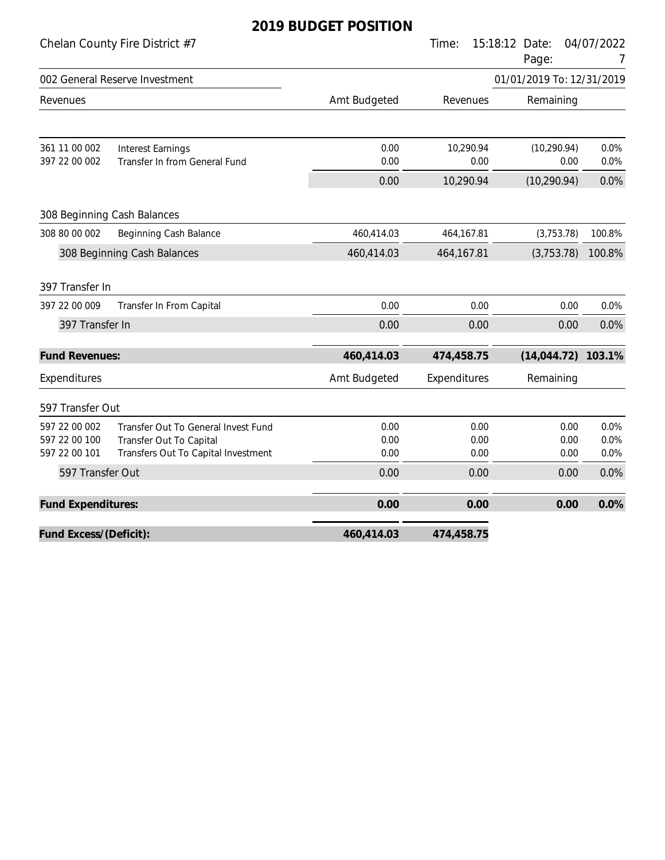|                                                 |                                                                                                       | ZUT? DUDULT FUSITIUIN |                      |                           |                      |
|-------------------------------------------------|-------------------------------------------------------------------------------------------------------|-----------------------|----------------------|---------------------------|----------------------|
|                                                 | Chelan County Fire District #7                                                                        |                       | Time:<br>15:18:12    | Date:<br>Page:            | 04/07/2022<br>7      |
|                                                 | 002 General Reserve Investment                                                                        |                       |                      | 01/01/2019 To: 12/31/2019 |                      |
| Revenues                                        |                                                                                                       | Amt Budgeted          | Revenues             | Remaining                 |                      |
| 361 11 00 002                                   | <b>Interest Earnings</b>                                                                              | 0.00                  | 10,290.94            | (10, 290.94)              | 0.0%                 |
| 397 22 00 002                                   | Transfer In from General Fund                                                                         | 0.00                  | 0.00                 | 0.00                      | 0.0%                 |
|                                                 |                                                                                                       | 0.00                  | 10,290.94            | (10, 290.94)              | 0.0%                 |
|                                                 | 308 Beginning Cash Balances                                                                           |                       |                      |                           |                      |
| 308 80 00 002                                   | Beginning Cash Balance                                                                                | 460,414.03            | 464,167.81           | (3,753.78)                | 100.8%               |
|                                                 | 308 Beginning Cash Balances                                                                           | 460,414.03            | 464,167.81           | (3,753.78)                | 100.8%               |
| 397 Transfer In                                 |                                                                                                       |                       |                      |                           |                      |
| 397 22 00 009                                   | Transfer In From Capital                                                                              | 0.00                  | 0.00                 | 0.00                      | 0.0%                 |
| 397 Transfer In                                 |                                                                                                       | 0.00                  | 0.00                 | 0.00                      | 0.0%                 |
| <b>Fund Revenues:</b>                           |                                                                                                       | 460,414.03            | 474,458.75           | (14, 044.72)              | 103.1%               |
| Expenditures                                    |                                                                                                       | Amt Budgeted          | Expenditures         | Remaining                 |                      |
| 597 Transfer Out                                |                                                                                                       |                       |                      |                           |                      |
| 597 22 00 002<br>597 22 00 100<br>597 22 00 101 | Transfer Out To General Invest Fund<br>Transfer Out To Capital<br>Transfers Out To Capital Investment | 0.00<br>0.00<br>0.00  | 0.00<br>0.00<br>0.00 | 0.00<br>0.00<br>0.00      | 0.0%<br>0.0%<br>0.0% |
| 597 Transfer Out                                |                                                                                                       | 0.00                  | 0.00                 | 0.00                      | 0.0%                 |
| Fund Expenditures:                              |                                                                                                       | 0.00                  | 0.00                 | 0.00                      | 0.0%                 |
| Fund Excess/(Deficit):                          |                                                                                                       | 460,414.03            | 474,458.75           |                           |                      |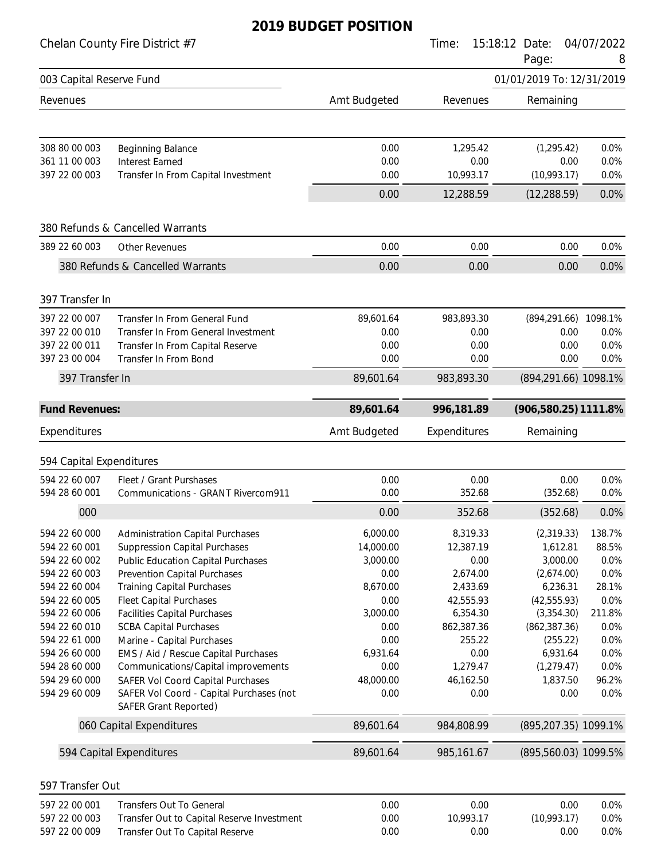|                                           | Chelan County Fire District #7                                                  |                  | Time:                  | 15:18:12 Date:<br>Page:     | 04/07/2022<br>8 |
|-------------------------------------------|---------------------------------------------------------------------------------|------------------|------------------------|-----------------------------|-----------------|
| 003 Capital Reserve Fund                  |                                                                                 |                  |                        | 01/01/2019 To: 12/31/2019   |                 |
| Revenues                                  |                                                                                 | Amt Budgeted     | Revenues               | Remaining                   |                 |
| 308 80 00 003                             | Beginning Balance                                                               | 0.00             | 1,295.42               | (1, 295.42)                 | 0.0%            |
| 361 11 00 003                             | <b>Interest Earned</b>                                                          | 0.00             | 0.00                   | 0.00                        | 0.0%            |
| 397 22 00 003                             | Transfer In From Capital Investment                                             | 0.00<br>0.00     | 10,993.17<br>12,288.59 | (10,993.17)<br>(12, 288.59) | 0.0%<br>0.0%    |
|                                           |                                                                                 |                  |                        |                             |                 |
|                                           | 380 Refunds & Cancelled Warrants                                                |                  |                        |                             |                 |
| 389 22 60 003                             | <b>Other Revenues</b>                                                           | 0.00             | 0.00                   | 0.00                        | 0.0%            |
|                                           | 380 Refunds & Cancelled Warrants                                                | 0.00             | 0.00                   | 0.00                        | 0.0%            |
| 397 Transfer In                           |                                                                                 |                  |                        |                             |                 |
| 397 22 00 007                             | Transfer In From General Fund                                                   | 89,601.64        | 983,893.30             | (894, 291.66)               | 1098.1%         |
| 397 22 00 010                             | Transfer In From General Investment                                             | 0.00             | 0.00                   | 0.00                        | 0.0%            |
| 397 22 00 011<br>397 23 00 004            | Transfer In From Capital Reserve<br>Transfer In From Bond                       | 0.00<br>0.00     | 0.00<br>0.00           | 0.00<br>0.00                | 0.0%<br>0.0%    |
| 397 Transfer In                           |                                                                                 | 89,601.64        | 983,893.30             | (894,291.66) 1098.1%        |                 |
| <b>Fund Revenues:</b>                     |                                                                                 | 89,601.64        | 996,181.89             | (906,580.25) 1111.8%        |                 |
| Expenditures                              |                                                                                 | Amt Budgeted     | Expenditures           | Remaining                   |                 |
|                                           |                                                                                 |                  |                        |                             |                 |
| 594 Capital Expenditures<br>594 22 60 007 | Fleet / Grant Purshases                                                         | 0.00             | 0.00                   | 0.00                        | 0.0%            |
| 594 28 60 001                             | Communications - GRANT Rivercom911                                              | 0.00             | 352.68                 | (352.68)                    | 0.0%            |
| 000                                       |                                                                                 | 0.00             | 352.68                 | (352.68)                    | 0.0%            |
| 594 22 60 000                             | <b>Administration Capital Purchases</b>                                         | 6,000.00         | 8,319.33               | (2,319.33)                  | 138.7%          |
| 594 22 60 001                             | <b>Suppression Capital Purchases</b>                                            | 14,000.00        | 12,387.19              | 1,612.81                    | 88.5%           |
| 594 22 60 002                             | <b>Public Education Capital Purchases</b>                                       | 3,000.00         | 0.00                   | 3,000.00                    | 0.0%            |
| 594 22 60 003                             | Prevention Capital Purchases                                                    | 0.00             | 2,674.00               | (2,674.00)                  | 0.0%            |
| 594 22 60 004                             | <b>Training Capital Purchases</b>                                               | 8,670.00         | 2,433.69               | 6,236.31                    | 28.1%           |
| 594 22 60 005                             | <b>Fleet Capital Purchases</b>                                                  | 0.00             | 42,555.93              | (42, 555.93)                | 0.0%            |
| 594 22 60 006                             | <b>Facilities Capital Purchases</b>                                             | 3,000.00         | 6,354.30               | (3,354.30)                  | 211.8%          |
| 594 22 60 010                             | <b>SCBA Capital Purchases</b>                                                   | 0.00             | 862,387.36             | (862, 387.36)               | 0.0%            |
| 594 22 61 000                             | Marine - Capital Purchases                                                      | 0.00             | 255.22                 | (255.22)                    | 0.0%            |
| 594 26 60 000<br>594 28 60 000            | EMS / Aid / Rescue Capital Purchases                                            | 6,931.64<br>0.00 | 0.00<br>1,279.47       | 6,931.64                    | 0.0%<br>0.0%    |
| 594 29 60 000                             | Communications/Capital improvements<br><b>SAFER Vol Coord Capital Purchases</b> | 48,000.00        | 46,162.50              | (1, 279.47)<br>1,837.50     | 96.2%           |
| 594 29 60 009                             | SAFER Vol Coord - Capital Purchases (not<br><b>SAFER Grant Reported)</b>        | 0.00             | 0.00                   | 0.00                        | 0.0%            |
|                                           | 060 Capital Expenditures                                                        | 89,601.64        | 984,808.99             | (895,207.35) 1099.1%        |                 |
|                                           | 594 Capital Expenditures                                                        | 89,601.64        | 985,161.67             | (895,560.03) 1099.5%        |                 |
|                                           |                                                                                 |                  |                        |                             |                 |
| 597 Transfer Out                          |                                                                                 |                  |                        |                             |                 |
| 597 22 00 001                             | <b>Transfers Out To General</b>                                                 | 0.00             | 0.00                   | 0.00<br>(10,993.17)         | 0.0%            |
| 597 22 00 003<br>597 22 00 009            | Transfer Out to Capital Reserve Investment<br>Transfer Out To Capital Reserve   | 0.00<br>0.00     | 10,993.17<br>0.00      | 0.00                        | 0.0%<br>0.0%    |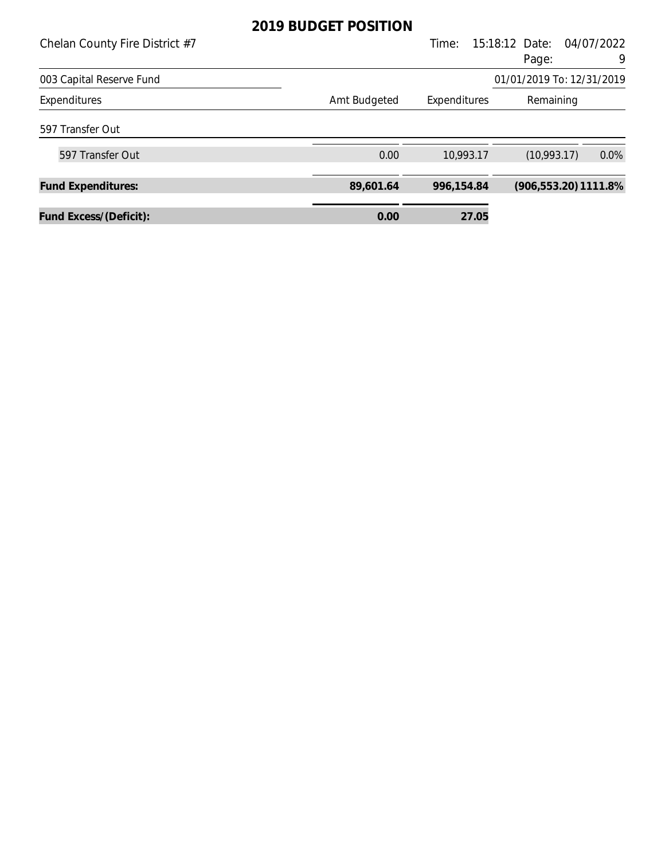| Chelan County Fire District #7 |                              | Time:      | 15:18:12 Date:            | 04/07/2022 |
|--------------------------------|------------------------------|------------|---------------------------|------------|
|                                |                              |            | Page:                     | 9          |
| 003 Capital Reserve Fund       |                              |            | 01/01/2019 To: 12/31/2019 |            |
| Expenditures                   | Amt Budgeted<br>Expenditures |            | Remaining                 |            |
| 597 Transfer Out               |                              |            |                           |            |
| 597 Transfer Out               | 0.00                         | 10,993.17  | (10,993.17)               | $0.0\%$    |
| <b>Fund Expenditures:</b>      | 89,601.64                    | 996,154.84 | $(906, 553.20)$ 1111.8%   |            |
| Fund Excess/(Deficit):         | 0.00                         | 27.05      |                           |            |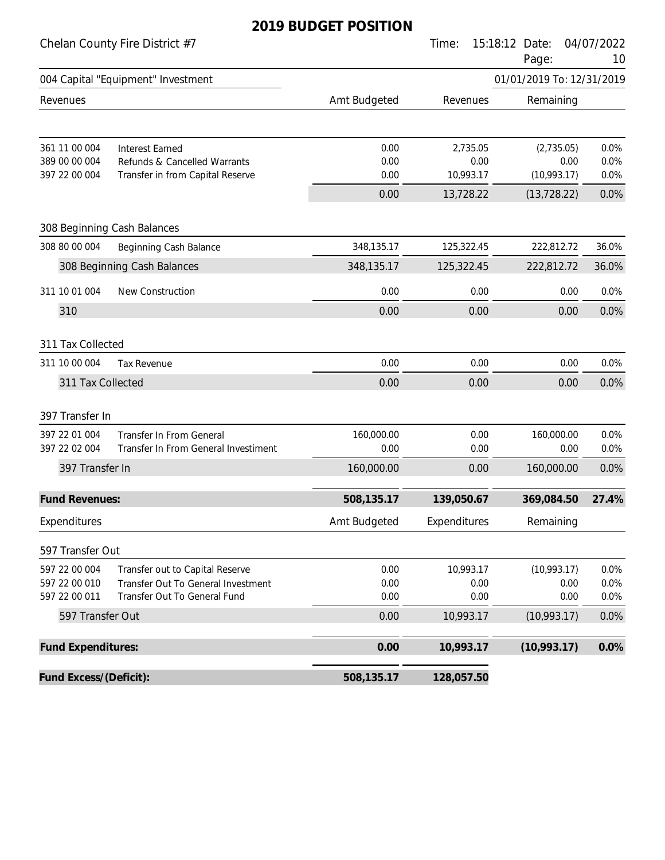#### Chelan County Fire District #7 Time: 15:18:12 Date: 04/07/2022

|                                                 |                                                                                                       |                      |                               | Page:                             | 10                   |
|-------------------------------------------------|-------------------------------------------------------------------------------------------------------|----------------------|-------------------------------|-----------------------------------|----------------------|
|                                                 | 004 Capital "Equipment" Investment                                                                    |                      |                               | 01/01/2019 To: 12/31/2019         |                      |
| Revenues                                        |                                                                                                       | Amt Budgeted         | Revenues                      | Remaining                         |                      |
| 361 11 00 004<br>389 00 00 004<br>397 22 00 004 | <b>Interest Earned</b><br>Refunds & Cancelled Warrants<br>Transfer in from Capital Reserve            | 0.00<br>0.00<br>0.00 | 2,735.05<br>0.00<br>10,993.17 | (2,735.05)<br>0.00<br>(10,993.17) | 0.0%<br>0.0%<br>0.0% |
|                                                 |                                                                                                       | 0.00                 | 13,728.22                     | (13, 728.22)                      | 0.0%                 |
|                                                 | 308 Beginning Cash Balances                                                                           |                      |                               |                                   |                      |
| 308 80 00 004                                   | Beginning Cash Balance                                                                                | 348,135.17           | 125,322.45                    | 222,812.72                        | 36.0%                |
|                                                 | 308 Beginning Cash Balances                                                                           | 348,135.17           | 125,322.45                    | 222,812.72                        | 36.0%                |
| 311 10 01 004                                   | New Construction                                                                                      | 0.00                 | 0.00                          | 0.00                              | 0.0%                 |
| 310                                             |                                                                                                       | 0.00                 | 0.00                          | 0.00                              | 0.0%                 |
| 311 Tax Collected                               |                                                                                                       |                      |                               |                                   |                      |
| 311 10 00 004                                   | <b>Tax Revenue</b>                                                                                    | 0.00                 | 0.00                          | 0.00                              | 0.0%                 |
| 311 Tax Collected                               |                                                                                                       | 0.00                 | 0.00                          | 0.00                              | 0.0%                 |
| 397 Transfer In                                 |                                                                                                       |                      |                               |                                   |                      |
| 397 22 01 004<br>397 22 02 004                  | <b>Transfer In From General</b><br>Transfer In From General Investiment                               | 160,000.00<br>0.00   | 0.00<br>0.00                  | 160,000.00<br>0.00                | 0.0%<br>0.0%         |
| 397 Transfer In                                 |                                                                                                       | 160,000.00           | 0.00                          | 160,000.00                        | 0.0%                 |
| <b>Fund Revenues:</b>                           |                                                                                                       | 508,135.17           | 139,050.67                    | 369,084.50                        | 27.4%                |
| Expenditures                                    |                                                                                                       | Amt Budgeted         | Expenditures                  | Remaining                         |                      |
| 597 Transfer Out                                |                                                                                                       |                      |                               |                                   |                      |
| 597 22 00 004<br>597 22 00 010<br>597 22 00 011 | Transfer out to Capital Reserve<br>Transfer Out To General Investment<br>Transfer Out To General Fund | 0.00<br>0.00<br>0.00 | 10,993.17<br>0.00<br>0.00     | (10,993.17)<br>0.00<br>0.00       | 0.0%<br>0.0%<br>0.0% |
| 597 Transfer Out                                |                                                                                                       | 0.00                 | 10,993.17                     | (10,993.17)                       | 0.0%                 |
| Fund Expenditures:                              |                                                                                                       | 0.00                 | 10,993.17                     | (10,993.17)                       | 0.0%                 |
| Fund Excess/(Deficit):                          |                                                                                                       | 508,135.17           | 128,057.50                    |                                   |                      |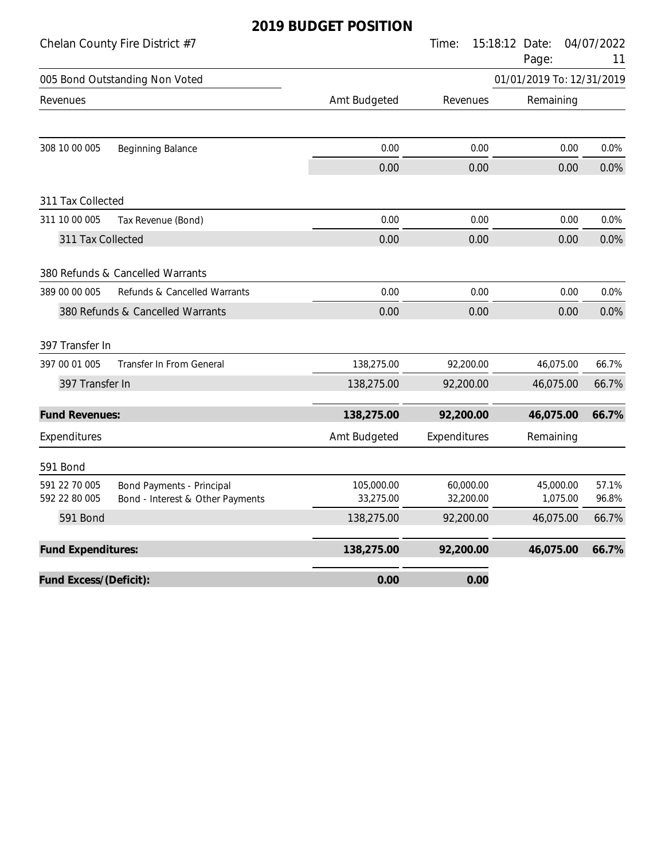|                                | Chelan County Fire District #7                                       |                         | Time:                  | 15:18:12 Date:<br>Page:   | 04/07/2022<br>11 |
|--------------------------------|----------------------------------------------------------------------|-------------------------|------------------------|---------------------------|------------------|
|                                | 005 Bond Outstanding Non Voted                                       |                         |                        | 01/01/2019 To: 12/31/2019 |                  |
| Revenues                       |                                                                      | Amt Budgeted            | Revenues               | Remaining                 |                  |
| 308 10 00 005                  | <b>Beginning Balance</b>                                             | 0.00                    | 0.00                   | 0.00                      | 0.0%             |
|                                |                                                                      | 0.00                    | 0.00                   | 0.00                      | 0.0%             |
| 311 Tax Collected              |                                                                      |                         |                        |                           |                  |
| 311 10 00 005                  | Tax Revenue (Bond)                                                   | 0.00                    | 0.00                   | 0.00                      | 0.0%             |
| 311 Tax Collected              |                                                                      | 0.00                    | 0.00                   | 0.00                      | 0.0%             |
|                                | 380 Refunds & Cancelled Warrants                                     |                         |                        |                           |                  |
| 389 00 00 005                  | Refunds & Cancelled Warrants                                         | 0.00                    | 0.00                   | 0.00                      | 0.0%             |
|                                | 380 Refunds & Cancelled Warrants                                     | 0.00                    | 0.00                   | 0.00                      | 0.0%             |
| 397 Transfer In                |                                                                      |                         |                        |                           |                  |
| 397 00 01 005                  | Transfer In From General                                             | 138,275.00              | 92,200.00              | 46,075.00                 | 66.7%            |
| 397 Transfer In                |                                                                      | 138,275.00              | 92,200.00              | 46,075.00                 | 66.7%            |
| <b>Fund Revenues:</b>          |                                                                      | 138,275.00              | 92,200.00              | 46,075.00                 | 66.7%            |
| Expenditures                   |                                                                      | Amt Budgeted            | Expenditures           | Remaining                 |                  |
| 591 Bond                       |                                                                      |                         |                        |                           |                  |
| 591 22 70 005<br>592 22 80 005 | <b>Bond Payments - Principal</b><br>Bond - Interest & Other Payments | 105,000.00<br>33,275.00 | 60,000.00<br>32,200.00 | 45,000.00<br>1,075.00     | 57.1%<br>96.8%   |
| 591 Bond                       |                                                                      | 138,275.00              | 92,200.00              | 46,075.00                 | 66.7%            |
| Fund Expenditures:             |                                                                      | 138,275.00              | 92,200.00              | 46,075.00                 | 66.7%            |
| Fund Excess/(Deficit):         |                                                                      | 0.00                    | 0.00                   |                           |                  |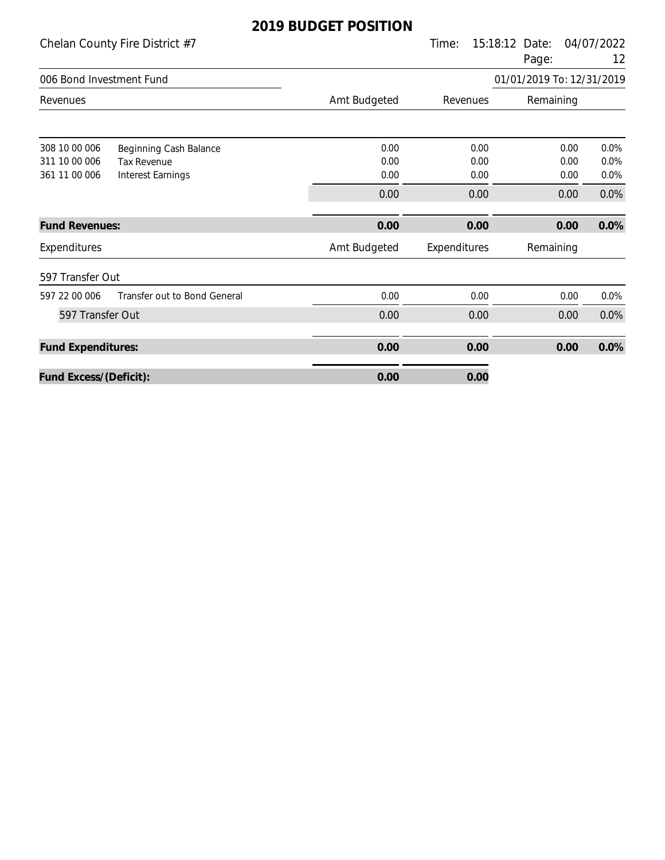| Chelan County Fire District #7                                                                                              |                      | Time:                | 15:18:12<br>Date:<br>Page: | 04/07/2022<br>12     |
|-----------------------------------------------------------------------------------------------------------------------------|----------------------|----------------------|----------------------------|----------------------|
| 006 Bond Investment Fund                                                                                                    |                      |                      | 01/01/2019 To: 12/31/2019  |                      |
| Revenues                                                                                                                    | Amt Budgeted         | Revenues             | Remaining                  |                      |
| 308 10 00 006<br>Beginning Cash Balance<br>311 10 00 006<br><b>Tax Revenue</b><br>361 11 00 006<br><b>Interest Earnings</b> | 0.00<br>0.00<br>0.00 | 0.00<br>0.00<br>0.00 | 0.00<br>0.00<br>0.00       | 0.0%<br>0.0%<br>0.0% |
|                                                                                                                             | 0.00                 | 0.00                 | 0.00                       | 0.0%                 |
| <b>Fund Revenues:</b>                                                                                                       | 0.00                 | 0.00                 | 0.00                       | 0.0%                 |
| Expenditures                                                                                                                | Amt Budgeted         | Expenditures         | Remaining                  |                      |
| 597 Transfer Out                                                                                                            |                      |                      |                            |                      |
| Transfer out to Bond General<br>597 22 00 006                                                                               | 0.00                 | 0.00                 | 0.00                       | 0.0%                 |
| 597 Transfer Out                                                                                                            | 0.00                 | 0.00                 | 0.00                       | 0.0%                 |
| <b>Fund Expenditures:</b>                                                                                                   | 0.00                 | 0.00                 | 0.00                       | 0.0%                 |
| Fund Excess/(Deficit):                                                                                                      | 0.00                 | 0.00                 |                            |                      |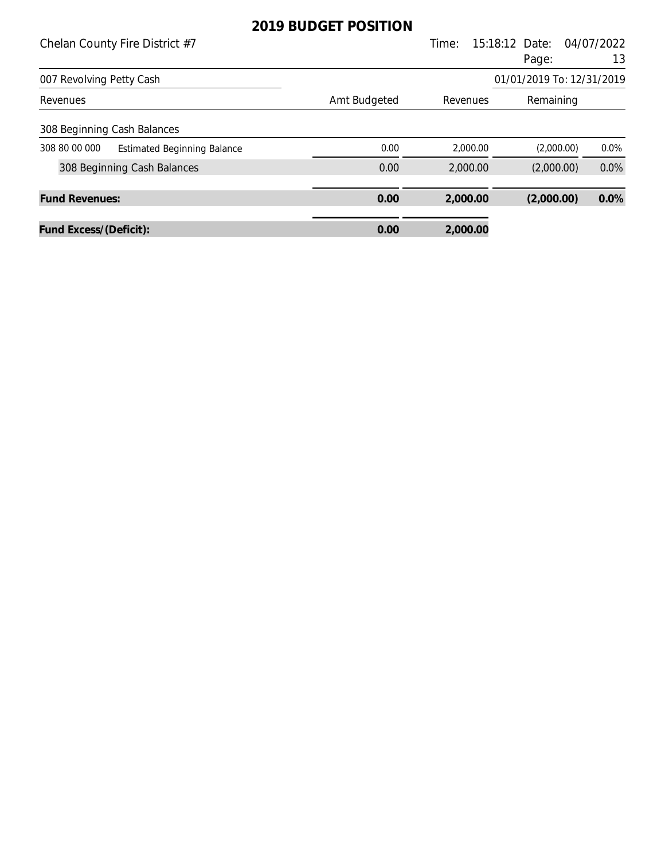| Chelan County Fire District #7 |                                    |              | Time:    | 15:18:12 Date:            | 04/07/2022 |
|--------------------------------|------------------------------------|--------------|----------|---------------------------|------------|
|                                |                                    |              |          | Page:                     | 13         |
| 007 Revolving Petty Cash       |                                    |              |          | 01/01/2019 To: 12/31/2019 |            |
| Revenues                       |                                    | Amt Budgeted | Revenues | Remaining                 |            |
|                                | 308 Beginning Cash Balances        |              |          |                           |            |
| 308 80 00 000                  | <b>Estimated Beginning Balance</b> | 0.00         | 2,000.00 | (2,000.00)                | $0.0\%$    |
|                                | 308 Beginning Cash Balances        | 0.00         | 2,000.00 | (2,000.00)                | 0.0%       |
| <b>Fund Revenues:</b>          |                                    | 0.00         | 2,000.00 | (2,000.00)                | 0.0%       |
| Fund Excess/(Deficit):         |                                    | 0.00         | 2,000.00 |                           |            |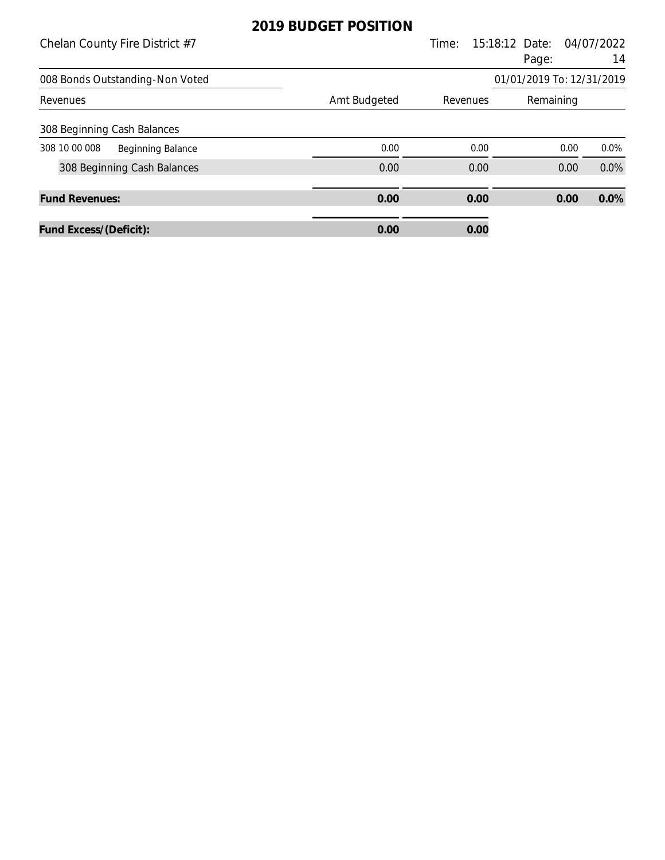| Chelan County Fire District #7            |              | Time: | 15:18:12 Date:            | 04/07/2022 |
|-------------------------------------------|--------------|-------|---------------------------|------------|
|                                           |              |       | Page:                     | 14         |
| 008 Bonds Outstanding-Non Voted           |              |       | 01/01/2019 To: 12/31/2019 |            |
| Revenues                                  | Amt Budgeted |       | Revenues<br>Remaining     |            |
| 308 Beginning Cash Balances               |              |       |                           |            |
| 308 10 00 008<br><b>Beginning Balance</b> | 0.00         | 0.00  | 0.00                      | $0.0\%$    |
| 308 Beginning Cash Balances               | 0.00         | 0.00  | 0.00                      | 0.0%       |
| <b>Fund Revenues:</b>                     | 0.00         | 0.00  | 0.00                      | 0.0%       |
| Fund Excess/(Deficit):                    | 0.00         | 0.00  |                           |            |